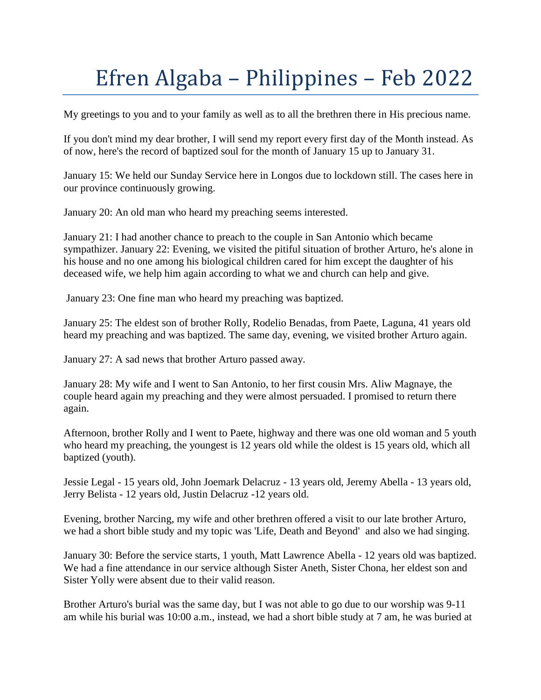## Efren Algaba – Philippines – Feb 2022

My greetings to you and to your family as well as to all the brethren there in His precious name.

If you don't mind my dear brother, I will send my report every first day of the Month instead. As of now, here's the record of baptized soul for the month of January 15 up to January 31.

January 15: We held our Sunday Service here in Longos due to lockdown still. The cases here in our province continuously growing.

January 20: An old man who heard my preaching seems interested.

January 21: I had another chance to preach to the couple in San Antonio which became sympathizer. January 22: Evening, we visited the pitiful situation of brother Arturo, he's alone in his house and no one among his biological children cared for him except the daughter of his deceased wife, we help him again according to what we and church can help and give.

January 23: One fine man who heard my preaching was baptized.

January 25: The eldest son of brother Rolly, Rodelio Benadas, from Paete, Laguna, 41 years old heard my preaching and was baptized. The same day, evening, we visited brother Arturo again.

January 27: A sad news that brother Arturo passed away.

January 28: My wife and I went to San Antonio, to her first cousin Mrs. Aliw Magnaye, the couple heard again my preaching and they were almost persuaded. I promised to return there again.

Afternoon, brother Rolly and I went to Paete, highway and there was one old woman and 5 youth who heard my preaching, the youngest is 12 years old while the oldest is 15 years old, which all baptized (youth).

Jessie Legal - 15 years old, John Joemark Delacruz - 13 years old, Jeremy Abella - 13 years old, Jerry Belista - 12 years old, Justin Delacruz -12 years old.

Evening, brother Narcing, my wife and other brethren offered a visit to our late brother Arturo, we had a short bible study and my topic was 'Life, Death and Beyond' and also we had singing.

January 30: Before the service starts, 1 youth, Matt Lawrence Abella - 12 years old was baptized. We had a fine attendance in our service although Sister Aneth, Sister Chona, her eldest son and Sister Yolly were absent due to their valid reason.

Brother Arturo's burial was the same day, but I was not able to go due to our worship was 9-11 am while his burial was 10:00 a.m., instead, we had a short bible study at 7 am, he was buried at